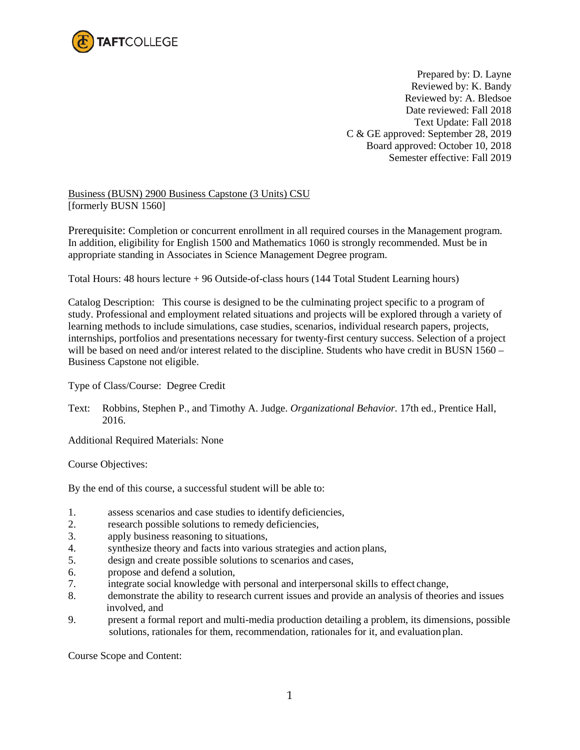

Prepared by: D. Layne Reviewed by: K. Bandy Reviewed by: A. Bledsoe Date reviewed: Fall 2018 Text Update: Fall 2018 C & GE approved: September 28, 2019 Board approved: October 10, 2018 Semester effective: Fall 2019

Business (BUSN) 2900 Business Capstone (3 Units) CSU [formerly BUSN 1560]

Prerequisite: Completion or concurrent enrollment in all required courses in the Management program. In addition, eligibility for English 1500 and Mathematics 1060 is strongly recommended. Must be in appropriate standing in Associates in Science Management Degree program.

Total Hours: 48 hours lecture + 96 Outside-of-class hours (144 Total Student Learning hours)

Catalog Description: This course is designed to be the culminating project specific to a program of study. Professional and employment related situations and projects will be explored through a variety of learning methods to include simulations, case studies, scenarios, individual research papers, projects, internships, portfolios and presentations necessary for twenty-first century success. Selection of a project will be based on need and/or interest related to the discipline. Students who have credit in BUSN 1560 – Business Capstone not eligible.

Type of Class/Course: Degree Credit

Text: Robbins, Stephen P., and Timothy A. Judge. *Organizational Behavior.* 17th ed., Prentice Hall, 2016.

Additional Required Materials: None

Course Objectives:

By the end of this course, a successful student will be able to:

- 1. assess scenarios and case studies to identify deficiencies,
- 2. research possible solutions to remedy deficiencies,
- 3. apply business reasoning to situations,
- 4. synthesize theory and facts into various strategies and action plans,
- 5. design and create possible solutions to scenarios and cases,
- 6. propose and defend a solution,
- 7. integrate social knowledge with personal and interpersonal skills to effect change,
- 8. demonstrate the ability to research current issues and provide an analysis of theories and issues involved, and
- 9. present a formal report and multi-media production detailing a problem, its dimensions, possible solutions, rationales for them, recommendation, rationales for it, and evaluation plan.

Course Scope and Content: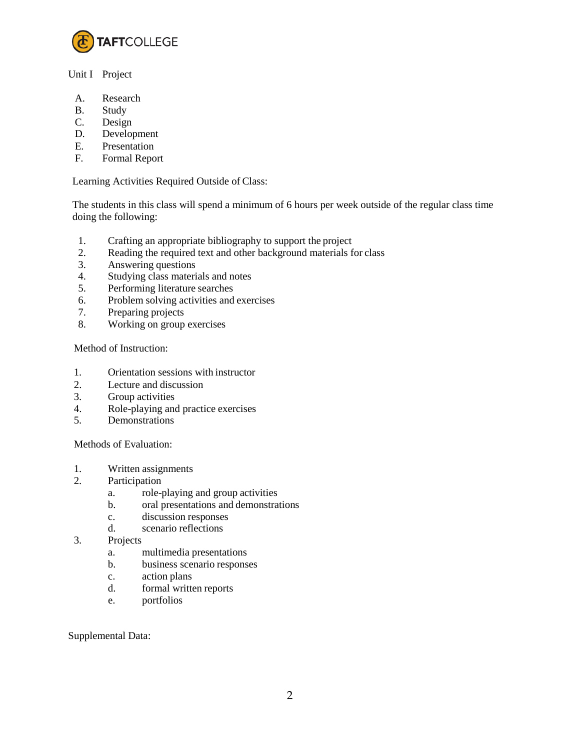

## Unit I Project

- A. Research
- B. Study
- C. Design
- D. Development
- E. Presentation
- F. Formal Report

Learning Activities Required Outside of Class:

The students in this class will spend a minimum of 6 hours per week outside of the regular class time doing the following:

- 1. Crafting an appropriate bibliography to support the project
- 2. Reading the required text and other background materials for class
- 3. Answering questions
- 4. Studying class materials and notes
- 5. Performing literature searches
- 6. Problem solving activities and exercises
- 7. Preparing projects
- 8. Working on group exercises

Method of Instruction:

- 1. Orientation sessions with instructor
- 2. Lecture and discussion
- 3. Group activities
- 4. Role-playing and practice exercises
- 5. Demonstrations

Methods of Evaluation:

- 1. Written assignments
- 2. Participation
	- a. role-playing and group activities
	- b. oral presentations and demonstrations
	- c. discussion responses
	- d. scenario reflections
- 3. Projects
	- a. multimedia presentations
	- b. business scenario responses
	- c. action plans
	- d. formal written reports
	- e. portfolios

## Supplemental Data: